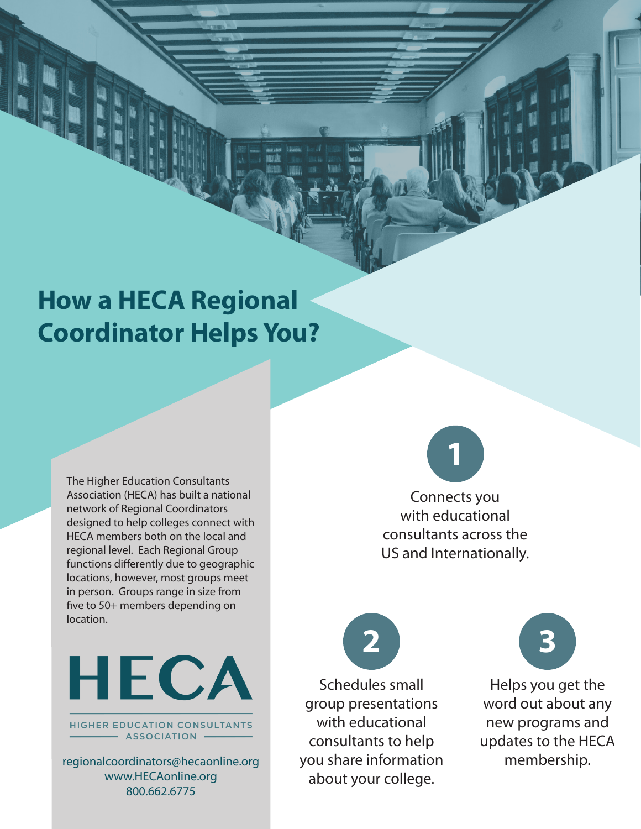## **How a HECA Regional Coordinator Helps You?**

The Higher Education Consultants Association (HECA) has built a national network of Regional Coordinators designed to help colleges connect with HECA members both on the local and regional level. Each Regional Group functions differently due to geographic locations, however, most groups meet in person. Groups range in size from five to 50+ members depending on location.



**HIGHER EDUCATION CONSULTANTS** - ASSOCIATION -

regionalcoordinators@hecaonline.org www.HECAonline.org 800.662.6775

Connects you **1**

with educational consultants across the US and Internationally.

Schedules small group presentations with educational consultants to help you share information about your college. **2**



Helps you get the word out about any new programs and updates to the HECA membership.